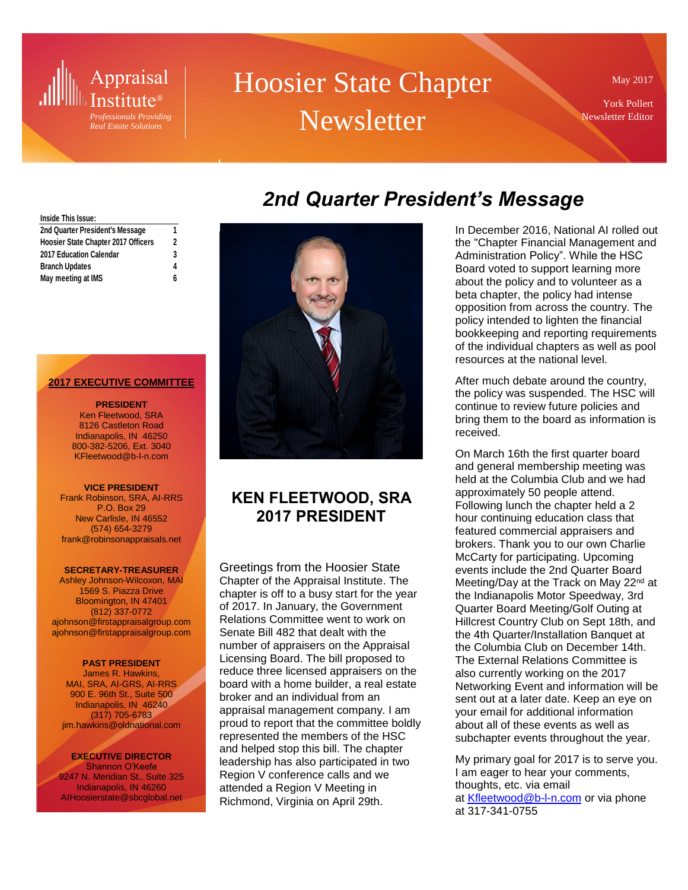# Appraisal Institute®

*Professionals Providing Real Estate Solutions*

# Hoosier State Chapter **Newsletter**

May 2017

York Pollert Newsletter Editor

# *2nd Quarter President's Message*

#### **Inside This Issue:**

| 2nd Quarter President's Message     |   |
|-------------------------------------|---|
| Hoosier State Chapter 2017 Officers | 2 |
| 2017 Education Calendar             | 3 |
| <b>Branch Updates</b>               | 4 |
| May meeting at IMS                  | 6 |

#### **2017 EXECUTIVE COMMITTEE**

#### **PRESIDENT** Ken Fleetwood, SRA 8126 Castleton Road Indianapolis, IN 46250 800-382-5206, Ext. 3040 KFleetwood@b-l-n.com

#### **VICE PRESIDENT**

Frank Robinson, SRA, AI-RRS P.O. Box 29 New Carlisle, IN 46552 (574) 654-3279 frank@robinsonappraisals.net

#### **SECRETARY-TREASURER**

Ashley Johnson-Wilcoxon, MAI 1569 S. Piazza Drive Bloomington, IN 47401 (812) 337-0772 ajohnson@firstappraisalgroup.com ajohnson@firstappraisalgroup.com

#### **PAST PRESIDENT**

James R. Hawkins, MAI, SRA, AI-GRS, AI-RRS 900 E. 96th St., Suite 500 Indianapolis, IN 46240 (317) 705-6783 jim.hawkins@oldnational.com

**EXECUTIVE DIRECTOR** Shannon O'Keefe 9247 N. Meridian St., Suite 325 Indianapolis, IN 46260 AIHoosierstate@sbcglobal.net



### **KEN FLEETWOOD, SRA 2017 PRESIDENT**

Greetings from the Hoosier State Chapter of the Appraisal Institute. The chapter is off to a busy start for the year of 2017. In January, the Government Relations Committee went to work on Senate Bill 482 that dealt with the number of appraisers on the Appraisal Licensing Board. The bill proposed to reduce three licensed appraisers on the board with a home builder, a real estate broker and an individual from an appraisal management company. I am proud to report that the committee boldly represented the members of the HSC and helped stop this bill. The chapter leadership has also participated in two Region V conference calls and we attended a Region V Meeting in Richmond, Virginia on April 29th.

In December 2016, National AI rolled out the "Chapter Financial Management and Administration Policy". While the HSC Board voted to support learning more about the policy and to volunteer as a beta chapter, the policy had intense opposition from across the country. The policy intended to lighten the financial bookkeeping and reporting requirements of the individual chapters as well as pool resources at the national level.

After much debate around the country, the policy was suspended. The HSC will continue to review future policies and bring them to the board as information is received.

On March 16th the first quarter board and general membership meeting was held at the Columbia Club and we had approximately 50 people attend. Following lunch the chapter held a 2 hour continuing education class that featured commercial appraisers and brokers. Thank you to our own Charlie McCarty for participating. Upcoming events include the 2nd Quarter Board Meeting/Day at the Track on May 22<sup>nd</sup> at the Indianapolis Motor Speedway, 3rd Quarter Board Meeting/Golf Outing at Hillcrest Country Club on Sept 18th, and the 4th Quarter/Installation Banquet at the Columbia Club on December 14th. The External Relations Committee is also currently working on the 2017 Networking Event and information will be sent out at a later date. Keep an eye on your email for additional information about all of these events as well as subchapter events throughout the year.

My primary goal for 2017 is to serve you. I am eager to hear your comments, thoughts, etc. via email at [Kfleetwood@b-l-n.com](mailto:Kfleetwood@b-l-n.com) or via phone at 317-341-0755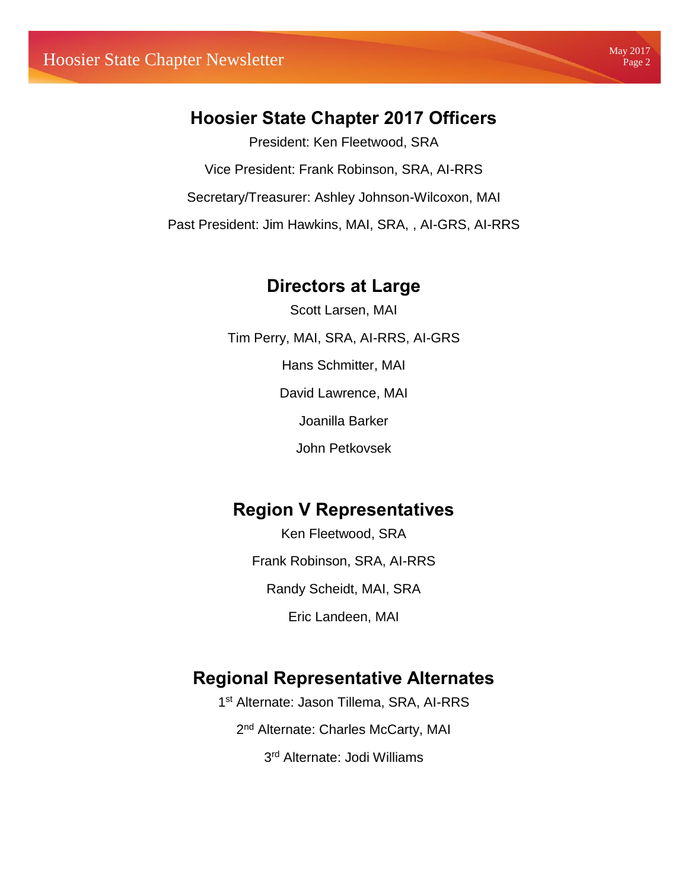## **Hoosier State Chapter 2017 Officers**

President: Ken Fleetwood, SRA Vice President: Frank Robinson, SRA, AI-RRS Secretary/Treasurer: Ashley Johnson-Wilcoxon, MAI Past President: Jim Hawkins, MAI, SRA, , AI-GRS, AI-RRS

### **Directors at Large**

Scott Larsen, MAI Tim Perry, MAI, SRA, AI-RRS, AI-GRS Hans Schmitter, MAI David Lawrence, MAI Joanilla Barker John Petkovsek

## **Region V Representatives**

Ken Fleetwood, SRA Frank Robinson, SRA, AI-RRS Randy Scheidt, MAI, SRA Eric Landeen, MAI

## **Regional Representative Alternates**

1 st Alternate: Jason Tillema, SRA, AI-RRS 2<sup>nd</sup> Alternate: Charles McCarty, MAI 3<sup>rd</sup> Alternate: Jodi Williams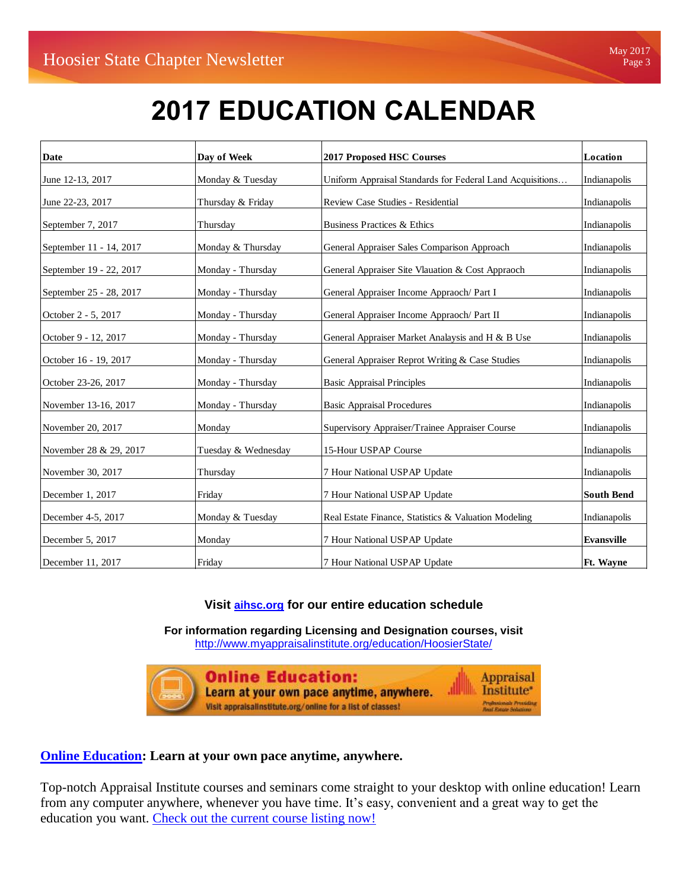# **2017 EDUCATION CALENDAR**

| <b>Date</b>             | Day of Week         | <b>2017 Proposed HSC Courses</b>                          | Location          |
|-------------------------|---------------------|-----------------------------------------------------------|-------------------|
| June 12-13, 2017        | Monday & Tuesday    | Uniform Appraisal Standards for Federal Land Acquisitions | Indianapolis      |
| June 22-23, 2017        | Thursday & Friday   | Review Case Studies - Residential                         | Indianapolis      |
| September 7, 2017       | Thursday            | Business Practices & Ethics                               | Indianapolis      |
| September 11 - 14, 2017 | Monday & Thursday   | General Appraiser Sales Comparison Approach               | Indianapolis      |
| September 19 - 22, 2017 | Monday - Thursday   | General Appraiser Site Vlauation & Cost Appraoch          | Indianapolis      |
| September 25 - 28, 2017 | Monday - Thursday   | General Appraiser Income Appraoch/ Part I                 | Indianapolis      |
| October 2 - 5, 2017     | Monday - Thursday   | General Appraiser Income Appraoch/ Part II                | Indianapolis      |
| October 9 - 12, 2017    | Monday - Thursday   | General Appraiser Market Analaysis and H & B Use          | Indianapolis      |
| October 16 - 19, 2017   | Monday - Thursday   | General Appraiser Reprot Writing & Case Studies           | Indianapolis      |
| October 23-26, 2017     | Monday - Thursday   | <b>Basic Appraisal Principles</b>                         | Indianapolis      |
| November 13-16, 2017    | Monday - Thursday   | <b>Basic Appraisal Procedures</b>                         | Indianapolis      |
| November 20, 2017       | Monday              | Supervisory Appraiser/Trainee Appraiser Course            | Indianapolis      |
| November 28 & 29, 2017  | Tuesday & Wednesday | 15-Hour USPAP Course                                      | Indianapolis      |
| November 30, 2017       | Thursday            | 7 Hour National USPAP Update                              | Indianapolis      |
| December 1, 2017        | Friday              | 7 Hour National USPAP Update                              | <b>South Bend</b> |
| December 4-5, 2017      | Monday & Tuesday    | Real Estate Finance, Statistics & Valuation Modeling      | Indianapolis      |
| December 5, 2017        | Monday              | 7 Hour National USPAP Update                              | <b>Evansville</b> |
| December 11, 2017       | Friday              | 7 Hour National USPAP Update                              | <b>Ft. Wavne</b>  |

#### **[Visit](http://cl.s4.exct.net/?qs=4529b97c7b21ceb58d1a83a5ba8516b3fa7ffeae43541a9c7e635995d2c2b082) aihsc.org for our entire education schedule**

**For information regarding Licensing and Designation courses, visit**  <http://www.myappraisalinstitute.org/education/HoosierState/>



**Online Education: Appraisal** Learn at your own pace anytime, anywhere. **Institute\*** .<br>Profesionals Presidius<br>Real Estate Solutions Visit appraisalinstitute.org/online for a list of classes!

#### **[Online Education:](http://www.appraisalinstitute.org/online) Learn at your own pace anytime, anywhere.**

Top-notch Appraisal Institute courses and seminars come straight to your desktop with online education! Learn from any computer anywhere, whenever you have time. It's easy, convenient and a great way to get the education you want. [Check out the current course listing now!](http://www.appraisalinstitute.org/education/online-education-view_programs.aspx)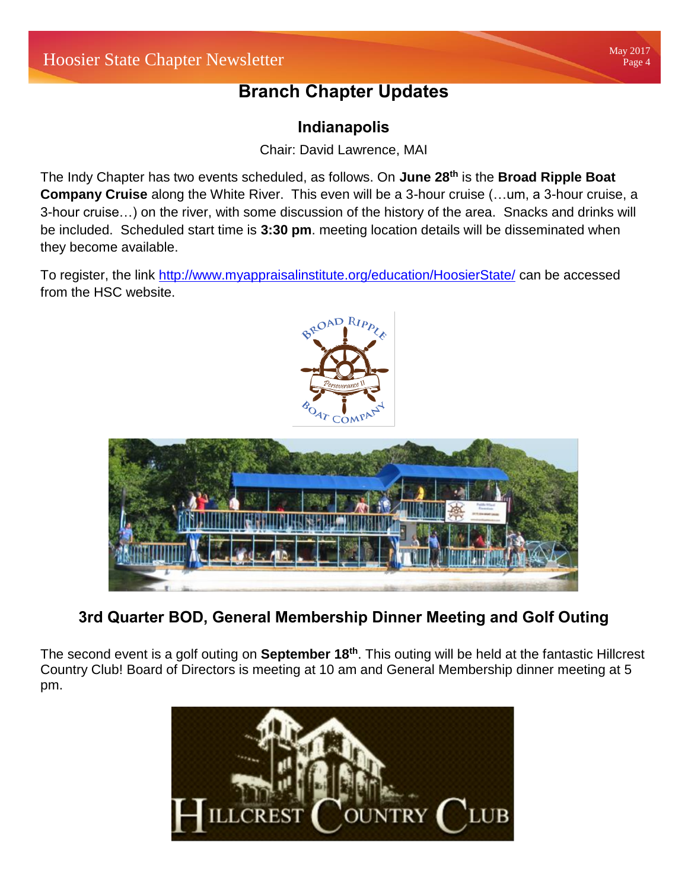# **Branch Chapter Updates**

### **Indianapolis**

Chair: David Lawrence, MAI

The Indy Chapter has two events scheduled, as follows. On **June 28th** is the **Broad Ripple Boat Company Cruise** along the White River. This even will be a 3-hour cruise (…um, a 3-hour cruise, a 3-hour cruise…) on the river, with some discussion of the history of the area. Snacks and drinks will be included. Scheduled start time is **3:30 pm**. meeting location details will be disseminated when they become available.

To register, the link<http://www.myappraisalinstitute.org/education/HoosierState/> can be accessed from the HSC website.



## **3rd Quarter BOD, General Membership Dinner Meeting and Golf Outing**

The second event is a golf outing on **September 18th**. This outing will be held at the fantastic Hillcrest Country Club! Board of Directors is meeting at 10 am and General Membership dinner meeting at 5 pm.



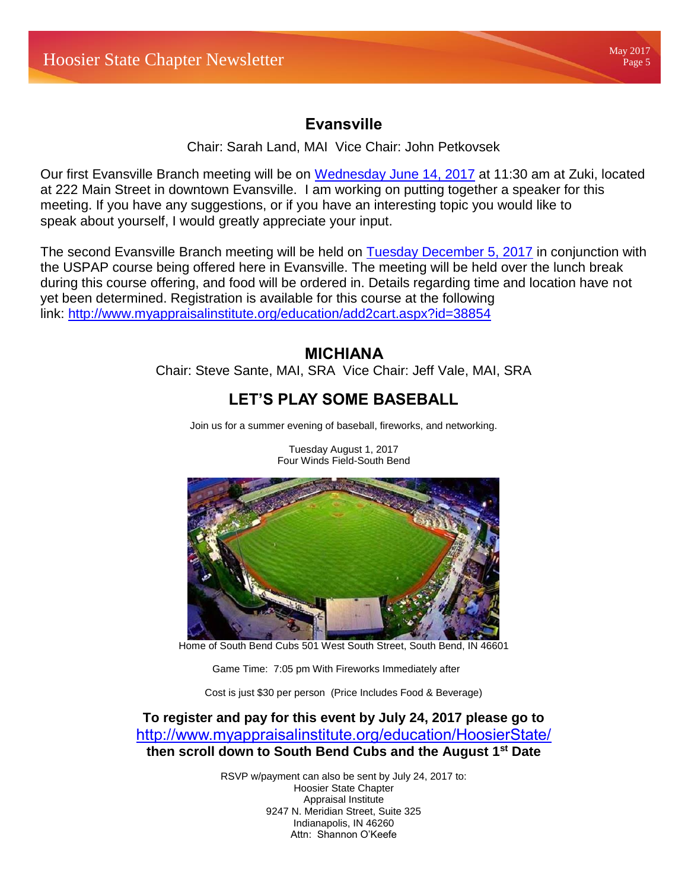### **Evansville**

Chair: Sarah Land, MAI Vice Chair: John Petkovsek

Our first Evansville Branch meeting will be on [Wednesday June 14, 2017](http://webmail.windstreamhosting.com/) at 11:30 am at Zuki, located at 222 Main Street in downtown Evansville. I am working on putting together a speaker for this meeting. If you have any suggestions, or if you have an interesting topic you would like to speak about yourself, I would greatly appreciate your input.

The second Evansville Branch meeting will be held on [Tuesday December 5, 2017](http://webmail.windstreamhosting.com/) in conjunction with the USPAP course being offered here in Evansville. The meeting will be held over the lunch break during this course offering, and food will be ordered in. Details regarding time and location have not yet been determined. Registration is available for this course at the following link: <http://www.myappraisalinstitute.org/education/add2cart.aspx?id=38854>

### **MICHIANA**

Chair: Steve Sante, MAI, SRA Vice Chair: Jeff Vale, MAI, SRA

### **LET'S PLAY SOME BASEBALL**

Join us for a summer evening of baseball, fireworks, and networking.



Tuesday August 1, 2017 Four Winds Field-South Bend

Home of South Bend Cubs 501 West South Street, South Bend, IN 46601

Game Time: 7:05 pm With Fireworks Immediately after

Cost is just \$30 per person (Price Includes Food & Beverage)

**To register and pay for this event by July 24, 2017 please go to** <http://www.myappraisalinstitute.org/education/HoosierState/> **then scroll down to South Bend Cubs and the August 1st Date**

> RSVP w/payment can also be sent by July 24, 2017 to: Hoosier State Chapter Appraisal Institute 9247 N. Meridian Street, Suite 325 Indianapolis, IN 46260 Attn: Shannon O'Keefe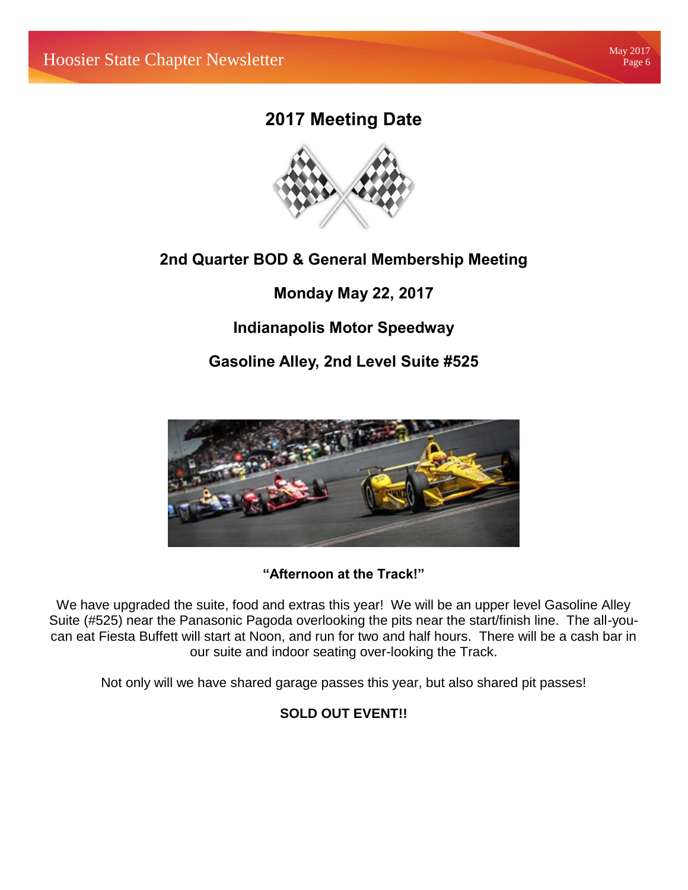## **2017 Meeting Date**



### **2nd Quarter BOD & General Membership Meeting**

**Monday May 22, 2017**

**Indianapolis Motor Speedway**

**Gasoline Alley, 2nd Level Suite #525**



### **"Afternoon at the Track!"**

We have upgraded the suite, food and extras this year! We will be an upper level Gasoline Alley Suite (#525) near the Panasonic Pagoda overlooking the pits near the start/finish line. The all-youcan eat Fiesta Buffett will start at Noon, and run for two and half hours. There will be a cash bar in our suite and indoor seating over-looking the Track.

Not only will we have shared garage passes this year, but also shared pit passes!

#### **SOLD OUT EVENT!!**